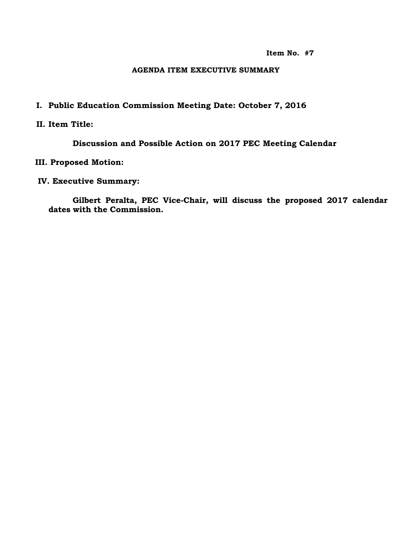**Item No. #7**

#### **AGENDA ITEM EXECUTIVE SUMMARY**

## **I. Public Education Commission Meeting Date: October 7, 2016**

### **II. Item Title:**

**Discussion and Possible Action on 2017 PEC Meeting Calendar**

### **III. Proposed Motion:**

#### **IV. Executive Summary:**

**Gilbert Peralta, PEC Vice-Chair, will discuss the proposed 2017 calendar dates with the Commission.**